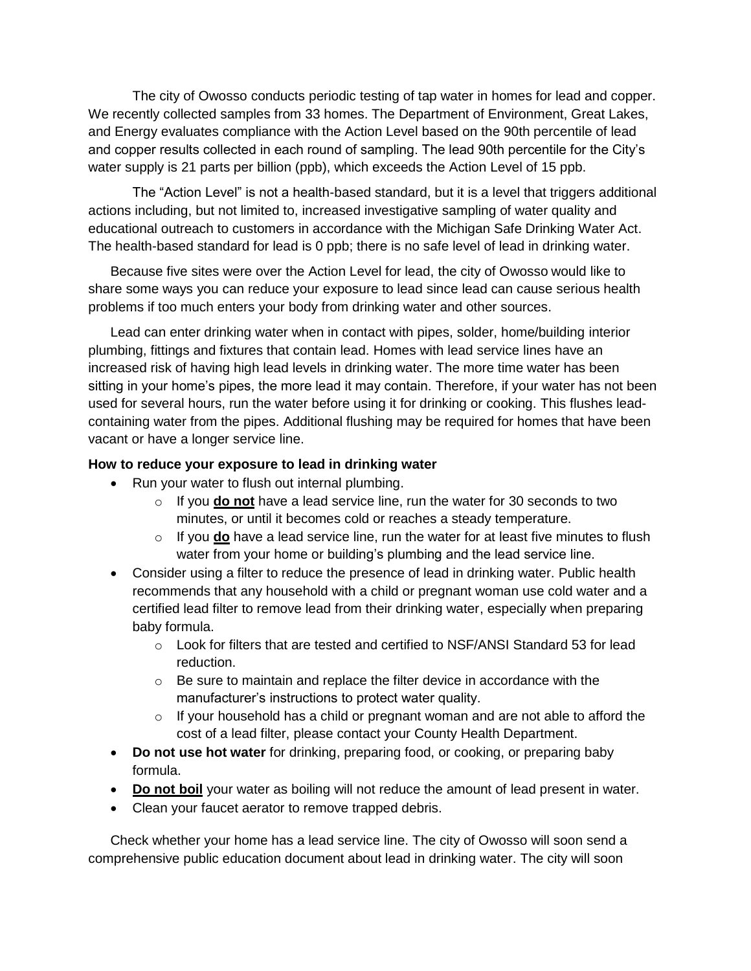The city of Owosso conducts periodic testing of tap water in homes for lead and copper. We recently collected samples from 33 homes. The Department of Environment, Great Lakes, and Energy evaluates compliance with the Action Level based on the 90th percentile of lead and copper results collected in each round of sampling. The lead 90th percentile for the City's water supply is 21 parts per billion (ppb), which exceeds the Action Level of 15 ppb.

The "Action Level" is not a health-based standard, but it is a level that triggers additional actions including, but not limited to, increased investigative sampling of water quality and educational outreach to customers in accordance with the Michigan Safe Drinking Water Act. The health-based standard for lead is 0 ppb; there is no safe level of lead in drinking water.

Because five sites were over the Action Level for lead, the city of Owosso would like to share some ways you can reduce your exposure to lead since lead can cause serious health problems if too much enters your body from drinking water and other sources.

Lead can enter drinking water when in contact with pipes, solder, home/building interior plumbing, fittings and fixtures that contain lead. Homes with lead service lines have an increased risk of having high lead levels in drinking water. The more time water has been sitting in your home's pipes, the more lead it may contain. Therefore, if your water has not been used for several hours, run the water before using it for drinking or cooking. This flushes leadcontaining water from the pipes. Additional flushing may be required for homes that have been vacant or have a longer service line.

## **How to reduce your exposure to lead in drinking water**

- Run your water to flush out internal plumbing.
	- o If you **do not** have a lead service line, run the water for 30 seconds to two minutes, or until it becomes cold or reaches a steady temperature.
	- o If you **do** have a lead service line, run the water for at least five minutes to flush water from your home or building's plumbing and the lead service line.
- Consider using a filter to reduce the presence of lead in drinking water. Public health recommends that any household with a child or pregnant woman use cold water and a certified lead filter to remove lead from their drinking water, especially when preparing baby formula.
	- $\circ$  Look for filters that are tested and certified to NSF/ANSI Standard 53 for lead reduction.
	- o Be sure to maintain and replace the filter device in accordance with the manufacturer's instructions to protect water quality.
	- $\circ$  If your household has a child or pregnant woman and are not able to afford the cost of a lead filter, please contact your County Health Department.
- **Do not use hot water** for drinking, preparing food, or cooking, or preparing baby formula.
- **Do not boil** your water as boiling will not reduce the amount of lead present in water.
- Clean your faucet aerator to remove trapped debris.

Check whether your home has a lead service line. The city of Owosso will soon send a comprehensive public education document about lead in drinking water. The city will soon